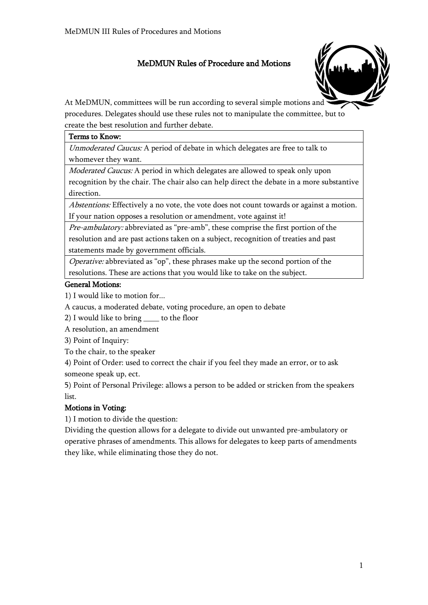## MeDMUN Rules of Procedure and Motions



At MeDMUN, committees will be run according to several simple motions and procedures. Delegates should use these rules not to manipulate the committee, but to create the best resolution and further debate.

#### Terms to Know:

Unmoderated Caucus: A period of debate in which delegates are free to talk to whomever they want.

Moderated Caucus: A period in which delegates are allowed to speak only upon recognition by the chair. The chair also can help direct the debate in a more substantive direction.

Abstentions: Effectively a no vote, the vote does not count towards or against a motion. If your nation opposes a resolution or amendment, vote against it!

Pre-ambulatory: abbreviated as "pre-amb", these comprise the first portion of the resolution and are past actions taken on a subject, recognition of treaties and past statements made by government officials.

Operative: abbreviated as "op", these phrases make up the second portion of the resolutions. These are actions that you would like to take on the subject.

## General Motions:

1) I would like to motion for...

A caucus, a moderated debate, voting procedure, an open to debate

2) I would like to bring \_\_\_\_ to the floor

A resolution, an amendment

3) Point of Inquiry:

To the chair, to the speaker

4) Point of Order: used to correct the chair if you feel they made an error, or to ask someone speak up, ect.

5) Point of Personal Privilege: allows a person to be added or stricken from the speakers list.

## Motions in Voting:

1) I motion to divide the question:

Dividing the question allows for a delegate to divide out unwanted pre-ambulatory or operative phrases of amendments. This allows for delegates to keep parts of amendments they like, while eliminating those they do not.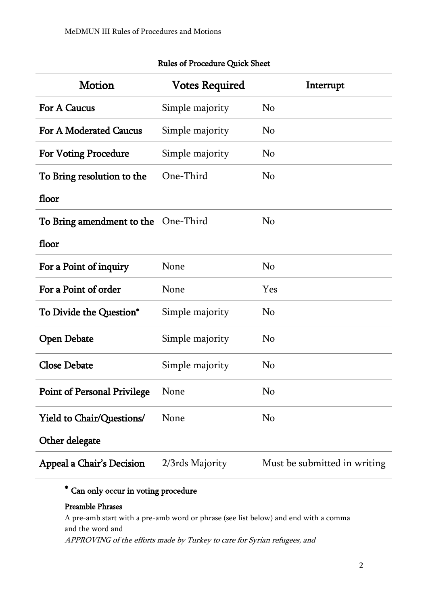| <b>Motion</b>                       | <b>Votes Required</b> | Interrupt                    |
|-------------------------------------|-----------------------|------------------------------|
| For A Caucus                        | Simple majority       | No                           |
| <b>For A Moderated Caucus</b>       | Simple majority       | No                           |
| <b>For Voting Procedure</b>         | Simple majority       | No                           |
| To Bring resolution to the          | One-Third             | No                           |
| floor                               |                       |                              |
| To Bring amendment to the One-Third |                       | No                           |
| floor                               |                       |                              |
| For a Point of inquiry              | None                  | N <sub>o</sub>               |
| For a Point of order                | None                  | Yes                          |
| To Divide the Question*             | Simple majority       | N <sub>o</sub>               |
| <b>Open Debate</b>                  | Simple majority       | N <sub>o</sub>               |
| <b>Close Debate</b>                 | Simple majority       | N <sub>o</sub>               |
| <b>Point of Personal Privilege</b>  | None                  | No                           |
| <b>Yield to Chair/Questions/</b>    | None                  | N <sub>o</sub>               |
| Other delegate                      |                       |                              |
| Appeal a Chair's Decision           | 2/3rds Majority       | Must be submitted in writing |

## Rules of Procedure Quick Sheet

# \* Can only occur in voting procedure

## Preamble Phrases

A pre-amb start with a pre-amb word or phrase (see list below) and end with a comma and the word and APPROVING of the efforts made by Turkey to care for Syrian refugees, and